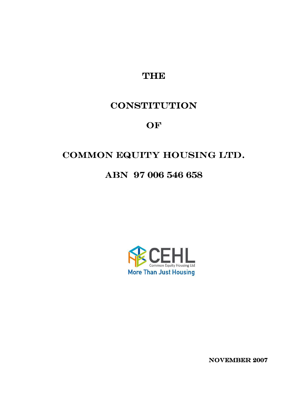**THE** 

# **CONSTITUTION**

OF

# COMMON EQUITY HOUSING LTD.

# ABN 97 006 546 658



NOVEMBER 2007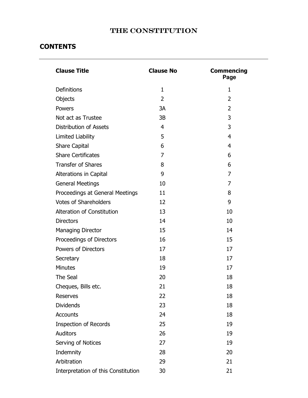## THE CONSTITUTION

## **CONTENTS**

| <b>Clause Title</b>                 | <b>Clause No</b> | <b>Commencing</b><br>Page |
|-------------------------------------|------------------|---------------------------|
| <b>Definitions</b>                  | $\mathbf{1}$     | $\mathbf{1}$              |
| Objects                             | $\overline{2}$   | $\overline{2}$            |
| Powers                              | 3A               | $\overline{2}$            |
| Not act as Trustee                  | 3B               | 3                         |
| <b>Distribution of Assets</b>       | 4                | 3                         |
| Limited Liability                   | 5                | $\overline{4}$            |
| <b>Share Capital</b>                | 6                | $\overline{4}$            |
| <b>Share Certificates</b>           | 7                | 6                         |
| <b>Transfer of Shares</b>           | 8                | 6                         |
| Alterations in Capital              | 9                | $\overline{7}$            |
| <b>General Meetings</b>             | 10               | $\overline{7}$            |
| Proceedings at General Meetings     | 11               | 8                         |
| <b>Votes of Shareholders</b>        | 12               | 9                         |
| Alteration of Constitution          | 13               | 10                        |
| <b>Directors</b>                    | 14               | 10                        |
| <b>Managing Director</b>            | 15               | 14                        |
| Proceedings of Directors            | 16               | 15                        |
| Powers of Directors                 | 17               | 17                        |
| Secretary                           | 18               | 17                        |
| Minutes                             | 19               | 17                        |
| The Seal                            | 20               | 18                        |
| Cheques, Bills etc.                 | 21               | 18                        |
| <b>Reserves</b>                     | 22               | 18                        |
| <b>Dividends</b>                    | 23               | 18                        |
| <b>Accounts</b>                     | 24               | 18                        |
| Inspection of Records               | 25               | 19                        |
| <b>Auditors</b>                     | 26               | 19                        |
| Serving of Notices                  | 27               | 19                        |
| Indemnity                           | 28               | 20                        |
| Arbitration                         | 29               | 21                        |
| Interpretation of this Constitution | 30               | 21                        |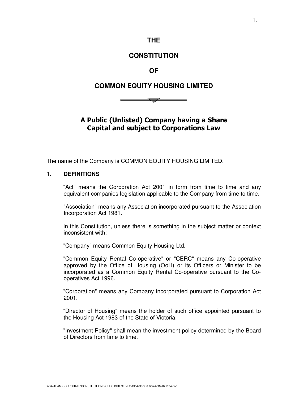### **THE**

## **CONSTITUTION**

### **OF**

## **COMMON EQUITY HOUSING LIMITED**

 $\overline{\phantom{0}}$ 

A Public (Unlisted) Company having a Share Capital and subject to Corporations Law

The name of the Company is COMMON EQUITY HOUSING LIMITED.

#### **1. DEFINITIONS**

"Act" means the Corporation Act 2001 in form from time to time and any equivalent companies legislation applicable to the Company from time to time.

"Association" means any Association incorporated pursuant to the Association Incorporation Act 1981.

In this Constitution, unless there is something in the subject matter or context inconsistent with: -

"Company" means Common Equity Housing Ltd.

"Common Equity Rental Co-operative" or "CERC" means any Co-operative approved by the Office of Housing (OoH) or its Officers or Minister to be incorporated as a Common Equity Rental Co-operative pursuant to the Cooperatives Act 1996.

"Corporation" means any Company incorporated pursuant to Corporation Act 2001.

"Director of Housing" means the holder of such office appointed pursuant to the Housing Act 1983 of the State of Victoria.

"Investment Policy" shall mean the investment policy determined by the Board of Directors from time to time.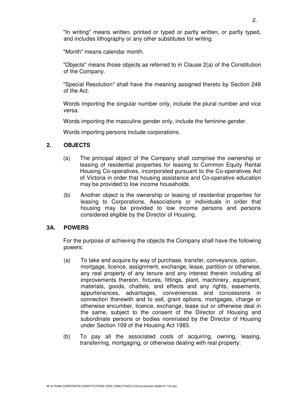"In writing" means written, printed or typed or partly written, or partly typed, and includes lithography or any other substitutes for writing.

"Month" means calendar month.

"Objects" means those objects as referred to in Clause 2(a) of the Constitution of the Company.

"Special Resolution" shall have the meaning assigned thereto by Section 248 of the Act.

Words importing the singular number only, include the plural number and vice versa.

Words importing the masculine gender only, include the feminine gender.

Words importing persons include corporations.

#### **2. OBJECTS**

- (a) The principal object of the Company shall comprise the ownership or leasing of residential properties for leasing to Common Equity Rental Housing Co-operatives, incorporated pursuant to the Co-operatives Act of Victoria in order that housing assistance and Co-operative education may be provided to low income households.
- (b) Another object is the ownership or leasing of residential properties for leasing to Corporations, Associations or individuals in order that housing may be provided to low income persons and persons considered eligible by the Director of Housing.

#### **3A. POWERS**

For the purpose of achieving the objects the Company shall have the following powers:

- (a) To take and acquire by way of purchase, transfer, conveyance, option, mortgage, licence, assignment, exchange, lease, partition or otherwise, any real property of any tenure and any interest therein including all improvements thereon, fixtures, fittings, plant, machinery, equipment, materials, goods, chattels, and effects and any rights, easements, appurtenances, advantages, conveniences and concessions in connection therewith and to sell, grant options, mortgages, charge or otherwise encumber, licence, exchange, lease out or otherwise deal in the same, subject to the consent of the Director of Housing and subordinate persons or bodies nominated by the Director of Housing under Section 109 of the Housing Act 1983.
- (b) To pay all the associated costs of acquiring, owning, leasing, transferring, mortgaging, or otherwise dealing with real property.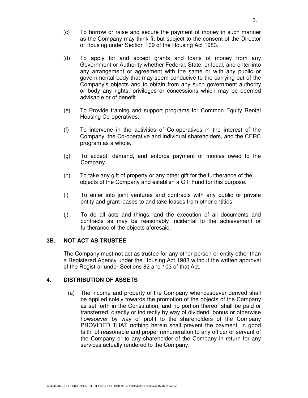- (c) To borrow or raise and secure the payment of money in such manner as the Company may think fit but subject to the consent of the Director of Housing under Section 109 of the Housing Act 1983.
- (d) To apply for and accept grants and loans of money from any Government or Authority whether Federal, State, or local, and enter into any arrangement or agreement with the same or with any public or governmental body that may seem conducive to the carrying out of the Company's objects and to obtain from any such government authority or body any rights, privileges or concessions which may be deemed advisable or of benefit.
- (e) To Provide training and support programs for Common Equity Rental Housing Co-operatives.
- (f) To intervene in the activities of Co-operatives in the interest of the Company, the Co-operative and individual shareholders, and the CERC program as a whole.
- (g) To accept, demand, and enforce payment of monies owed to the Company.
- (h) To take any gift of property or any other gift for the furtherance of the objects of the Company and establish a Gift Fund for this purpose.
- (i) To enter into joint ventures and contracts with any public or private entity and grant leases to and take leases from other entities.
- (j) To do all acts and things, and the execution of all documents and contracts as may be reasonably incidental to the achievement or furtherance of the objects aforesaid.

#### **3B. NOT ACT AS TRUSTEE**

The Company must not act as trustee for any other person or entity other than a Registered Agency under the Housing Act 1983 without the written approval of the Registrar under Sections 82 and 103 of that Act.

#### **4. DISTRIBUTION OF ASSETS**

(a) The income and property of the Company whencesoever derived shall be applied solely towards the promotion of the objects of the Company as set forth in the Constitution, and no portion thereof shall be paid or transferred, directly or indirectly by way of dividend, bonus or otherwise howsoever by way of profit to the shareholders of the Company PROVIDED THAT nothing herein shall prevent the payment, in good faith, of reasonable and proper remuneration to any officer or servant of the Company or to any shareholder of the Company in return for any services actually rendered to the Company.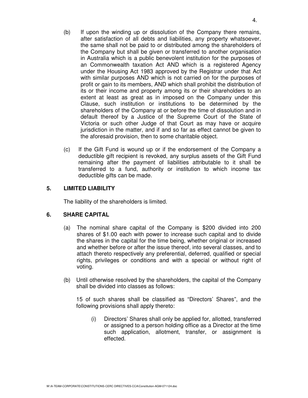- (b) If upon the winding up or dissolution of the Company there remains, after satisfaction of all debts and liabilities, any property whatsoever, the same shall not be paid to or distributed among the shareholders of the Company but shall be given or transferred to another organisation in Australia which is a public benevolent institution for the purposes of an Commonwealth taxation Act AND which is a registered Agency under the Housing Act 1983 approved by the Registrar under that Act with similar purposes AND which is not carried on for the purposes of profit or gain to its members, AND which shall prohibit the distribution of its or their income and property among its or their shareholders to an extent at least as great as in imposed on the Company under this Clause, such institution or institutions to be determined by the shareholders of the Company at or before the time of dissolution and in default thereof by a Justice of the Supreme Court of the State of Victoria or such other Judge of that Court as may have or acquire jurisdiction in the matter, and if and so far as effect cannot be given to
- (c) If the Gift Fund is wound up or if the endorsement of the Company a deductible gift recipient is revoked, any surplus assets of the Gift Fund remaining after the payment of liabilities attributable to it shall be transferred to a fund, authority or institution to which income tax deductible gifts can be made.

the aforesaid provision, then to some charitable object.

#### **5. LIMITED LIABILITY**

The liability of the shareholders is limited.

#### **6. SHARE CAPITAL**

- (a) The nominal share capital of the Company is \$200 divided into 200 shares of \$1.00 each with power to increase such capital and to divide the shares in the capital for the time being, whether original or increased and whether before or after the issue thereof, into several classes, and to attach thereto respectively any preferential, deferred, qualified or special rights, privileges or conditions and with a special or without right of voting.
- (b) Until otherwise resolved by the shareholders, the capital of the Company shall be divided into classes as follows:

15 of such shares shall be classified as "Directors' Shares", and the following provisions shall apply thereto:

(i) Directors' Shares shall only be applied for, allotted, transferred or assigned to a person holding office as a Director at the time such application, allotment, transfer, or assignment is effected.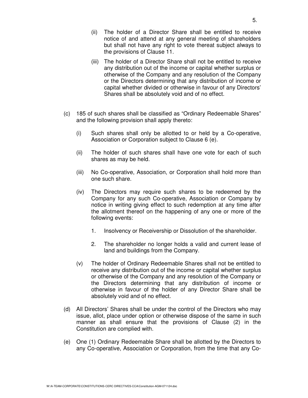- (ii) The holder of a Director Share shall be entitled to receive notice of and attend at any general meeting of shareholders but shall not have any right to vote thereat subject always to the provisions of Clause 11.
- (iii) The holder of a Director Share shall not be entitled to receive any distribution out of the income or capital whether surplus or otherwise of the Company and any resolution of the Company or the Directors determining that any distribution of income or capital whether divided or otherwise in favour of any Directors' Shares shall be absolutely void and of no effect.
- (c) 185 of such shares shall be classified as "Ordinary Redeemable Shares" and the following provision shall apply thereto:
	- (i) Such shares shall only be allotted to or held by a Co-operative, Association or Corporation subject to Clause 6 (e).
	- (ii) The holder of such shares shall have one vote for each of such shares as may be held.
	- (iii) No Co-operative, Association, or Corporation shall hold more than one such share.
	- (iv) The Directors may require such shares to be redeemed by the Company for any such Co-operative, Association or Company by notice in writing giving effect to such redemption at any time after the allotment thereof on the happening of any one or more of the following events:
		- 1. Insolvency or Receivership or Dissolution of the shareholder.
		- 2. The shareholder no longer holds a valid and current lease of land and buildings from the Company.
	- (v) The holder of Ordinary Redeemable Shares shall not be entitled to receive any distribution out of the income or capital whether surplus or otherwise of the Company and any resolution of the Company or the Directors determining that any distribution of income or otherwise in favour of the holder of any Director Share shall be absolutely void and of no effect.
- (d) All Directors' Shares shall be under the control of the Directors who may issue, allot, place under option or otherwise dispose of the same in such manner as shall ensure that the provisions of Clause (2) in the Constitution are complied with.
- (e) One (1) Ordinary Redeemable Share shall be allotted by the Directors to any Co-operative, Association or Corporation, from the time that any Co-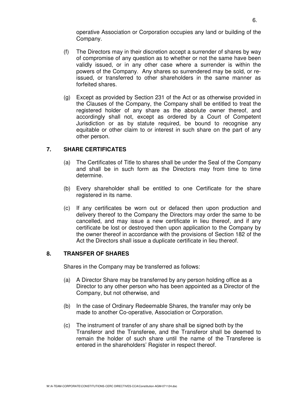operative Association or Corporation occupies any land or building of the Company.

- (f) The Directors may in their discretion accept a surrender of shares by way of compromise of any question as to whether or not the same have been validly issued, or in any other case where a surrender is within the powers of the Company. Any shares so surrendered may be sold, or reissued, or transferred to other shareholders in the same manner as forfeited shares.
- (g) Except as provided by Section 231 of the Act or as otherwise provided in the Clauses of the Company, the Company shall be entitled to treat the registered holder of any share as the absolute owner thereof, and accordingly shall not, except as ordered by a Court of Competent Jurisdiction or as by statute required, be bound to recognise any equitable or other claim to or interest in such share on the part of any other person.

#### **7. SHARE CERTIFICATES**

- (a) The Certificates of Title to shares shall be under the Seal of the Company and shall be in such form as the Directors may from time to time determine.
- (b) Every shareholder shall be entitled to one Certificate for the share registered in its name.
- (c) If any certificates be worn out or defaced then upon production and delivery thereof to the Company the Directors may order the same to be cancelled, and may issue a new certificate in lieu thereof, and if any certificate be lost or destroyed then upon application to the Company by the owner thereof in accordance with the provisions of Section 182 of the Act the Directors shall issue a duplicate certificate in lieu thereof.

#### **8. TRANSFER OF SHARES**

Shares in the Company may be transferred as follows:

- (a) A Director Share may be transferred by any person holding office as a Director to any other person who has been appointed as a Director of the Company, but not otherwise, and
- (b) In the case of Ordinary Redeemable Shares, the transfer may only be made to another Co-operative, Association or Corporation.
- (c) The instrument of transfer of any share shall be signed both by the Transferor and the Transferee, and the Transferor shall be deemed to remain the holder of such share until the name of the Transferee is entered in the shareholders' Register in respect thereof.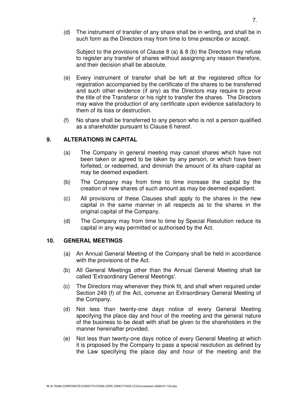(d) The instrument of transfer of any share shall be in writing, and shall be in such form as the Directors may from time to time prescribe or accept.

Subject to the provisions of Clause 8 (a) & 8 (b) the Directors may refuse to register any transfer of shares without assigning any reason therefore, and their decision shall be absolute.

- (e) Every instrument of transfer shall be left at the registered office for registration accompanied by the certificate of the shares to be transferred and such other evidence (if any) as the Directors may require to prove the title of the Transferor or his right to transfer the shares. The Directors may waive the production of any certificate upon evidence satisfactory to them of its loss or destruction.
- (f) No share shall be transferred to any person who is not a person qualified as a shareholder pursuant to Clause 6 hereof.

#### **9. ALTERATIONS IN CAPITAL**

- (a) The Company in general meeting may cancel shares which have not been taken or agreed to be taken by any person, or which have been forfeited, or redeemed, and diminish the amount of its share capital as may be deemed expedient.
- (b) The Company may from time to time increase the capital by the creation of new shares of such amount as may be deemed expedient.
- (c) All provisions of these Clauses shall apply to the shares in the new capital in the same manner in all respects as to the shares in the original capital of the Company.
- (d) The Company may from time to time by Special Resolution reduce its capital in any way permitted or authorised by the Act.

#### **10. GENERAL MEETINGS**

- (a) An Annual General Meeting of the Company shall be held in accordance with the provisions of the Act.
- (b) All General Meetings other than the Annual General Meeting shall be called 'Extraordinary General Meetings'.
- (c) The Directors may whenever they think fit, and shall when required under Section 249 (f) of the Act, convene an Extraordinary General Meeting of the Company.
- (d) Not less than twenty-one days notice of every General Meeting specifying the place day and hour of the meeting and the general nature of the business to be dealt with shall be given to the shareholders in the manner hereinafter provided.
- (e) Not less than twenty-one days notice of every General Meeting at which it is proposed by the Company to pass a special resolution as defined by the Law specifying the place day and hour of the meeting and the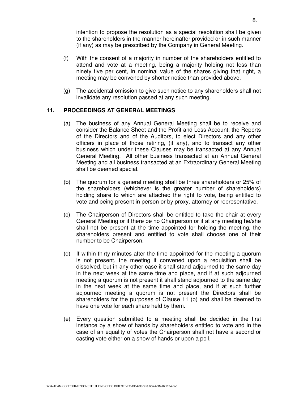intention to propose the resolution as a special resolution shall be given to the shareholders in the manner hereinafter provided or in such manner (if any) as may be prescribed by the Company in General Meeting.

- (f) With the consent of a majority in number of the shareholders entitled to attend and vote at a meeting, being a majority holding not less than ninety five per cent, in nominal value of the shares giving that right, a meeting may be convened by shorter notice than provided above.
- (g) The accidental omission to give such notice to any shareholders shall not invalidate any resolution passed at any such meeting.

#### **11. PROCEEDINGS AT GENERAL MEETINGS**

- (a) The business of any Annual General Meeting shall be to receive and consider the Balance Sheet and the Profit and Loss Account, the Reports of the Directors and of the Auditors, to elect Directors and any other officers in place of those retiring, (if any), and to transact any other business which under these Clauses may be transacted at any Annual General Meeting. All other business transacted at an Annual General Meeting and all business transacted at an Extraordinary General Meeting shall be deemed special.
- (b) The quorum for a general meeting shall be three shareholders or 25% of the shareholders (whichever is the greater number of shareholders) holding share to which are attached the right to vote, being entitled to vote and being present in person or by proxy, attorney or representative.
- (c) The Chairperson of Directors shall be entitled to take the chair at every General Meeting or if there be no Chairperson or if at any meeting he/she shall not be present at the time appointed for holding the meeting, the shareholders present and entitled to vote shall choose one of their number to be Chairperson.
- (d) If within thirty minutes after the time appointed for the meeting a quorum is not present, the meeting if convened upon a requisition shall be dissolved, but in any other case it shall stand adjourned to the same day in the next week at the same time and place, and if at such adjourned meeting a quorum is not present it shall stand adjourned to the same day in the next week at the same time and place, and if at such further adjourned meeting a quorum is not present the Directors shall be shareholders for the purposes of Clause 11 (b) and shall be deemed to have one vote for each share held by them.
- (e) Every question submitted to a meeting shall be decided in the first instance by a show of hands by shareholders entitled to vote and in the case of an equality of votes the Chairperson shall not have a second or casting vote either on a show of hands or upon a poll.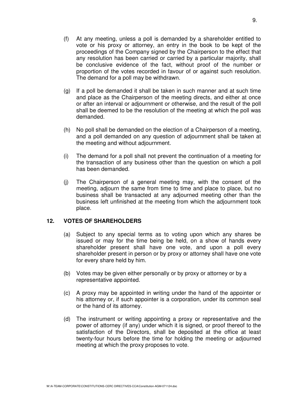- (f) At any meeting, unless a poll is demanded by a shareholder entitled to vote or his proxy or attorney, an entry in the book to be kept of the proceedings of the Company signed by the Chairperson to the effect that any resolution has been carried or carried by a particular majority, shall be conclusive evidence of the fact, without proof of the number or proportion of the votes recorded in favour of or against such resolution. The demand for a poll may be withdrawn.
- (g) If a poll be demanded it shall be taken in such manner and at such time and place as the Chairperson of the meeting directs, and either at once or after an interval or adjournment or otherwise, and the result of the poll shall be deemed to be the resolution of the meeting at which the poll was demanded.
- (h) No poll shall be demanded on the election of a Chairperson of a meeting, and a poll demanded on any question of adjournment shall be taken at the meeting and without adjournment.
- (i) The demand for a poll shall not prevent the continuation of a meeting for the transaction of any business other than the question on which a poll has been demanded.
- (j) The Chairperson of a general meeting may, with the consent of the meeting, adjourn the same from time to time and place to place, but no business shall be transacted at any adjourned meeting other than the business left unfinished at the meeting from which the adjournment took place.

#### **12. VOTES OF SHAREHOLDERS**

- (a) Subject to any special terms as to voting upon which any shares be issued or may for the time being be held, on a show of hands every shareholder present shall have one vote, and upon a poll every shareholder present in person or by proxy or attorney shall have one vote for every share held by him.
- (b) Votes may be given either personally or by proxy or attorney or by a representative appointed.
- (c) A proxy may be appointed in writing under the hand of the appointer or his attorney or, if such appointer is a corporation, under its common seal or the hand of its attorney.
- (d) The instrument or writing appointing a proxy or representative and the power of attorney (if any) under which it is signed, or proof thereof to the satisfaction of the Directors, shall be deposited at the office at least twenty-four hours before the time for holding the meeting or adjourned meeting at which the proxy proposes to vote.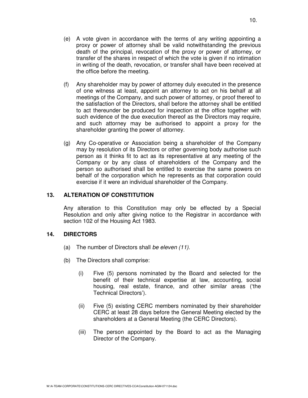- (e) A vote given in accordance with the terms of any writing appointing a proxy or power of attorney shall be valid notwithstanding the previous death of the principal, revocation of the proxy or power of attorney, or transfer of the shares in respect of which the vote is given if no intimation in writing of the death, revocation, or transfer shall have been received at the office before the meeting.
- (f) Any shareholder may by power of attorney duly executed in the presence of one witness at least, appoint an attorney to act on his behalf at all meetings of the Company, and such power of attorney, or proof thereof to the satisfaction of the Directors, shall before the attorney shall be entitled to act thereunder be produced for inspection at the office together with such evidence of the due execution thereof as the Directors may require, and such attorney may be authorised to appoint a proxy for the shareholder granting the power of attorney.
- (g) Any Co-operative or Association being a shareholder of the Company may by resolution of its Directors or other governing body authorise such person as it thinks fit to act as its representative at any meeting of the Company or by any class of shareholders of the Company and the person so authorised shall be entitled to exercise the same powers on behalf of the corporation which he represents as that corporation could exercise if it were an individual shareholder of the Company.

#### **13. ALTERATION OF CONSTITUTION**

Any alteration to this Constitution may only be effected by a Special Resolution and only after giving notice to the Registrar in accordance with section 102 of the Housing Act 1983.

#### **14. DIRECTORS**

- (a) The number of Directors shall be eleven (11).
- (b) The Directors shall comprise:
	- (i) Five (5) persons nominated by the Board and selected for the benefit of their technical expertise at law, accounting, social housing, real estate, finance, and other similar areas ('the Technical Directors').
	- (ii) Five (5) existing CERC members nominated by their shareholder CERC at least 28 days before the General Meeting elected by the shareholders at a General Meeting (the CERC Directors).
	- (iii) The person appointed by the Board to act as the Managing Director of the Company.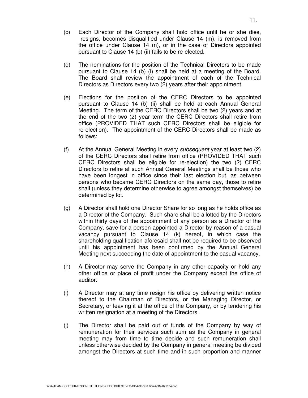- (c) Each Director of the Company shall hold office until he or she dies, resigns, becomes disqualified under Clause 14 (m), is removed from the office under Clause 14 (n), or in the case of Directors appointed pursuant to Clause 14 (b) (ii) fails to be re-elected.
- (d) The nominations for the position of the Technical Directors to be made pursuant to Clause 14 (b) (i) shall be held at a meeting of the Board. The Board shall review the appointment of each of the Technical Directors as Directors every two (2) years after their appointment.
- (e) Elections for the position of the CERC Directors to be appointed pursuant to Clause 14 (b) (ii) shall be held at each Annual General Meeting. The term of the CERC Directors shall be two (2) years and at the end of the two (2) year term the CERC Directors shall retire from office (PROVIDED THAT such CERC Directors shall be eligible for re-election). The appointment of the CERC Directors shall be made as follows:
- (f) At the Annual General Meeting in every subsequent year at least two (2) of the CERC Directors shall retire from office (PROVIDED THAT such CERC Directors shall be eligible for re-election) the two (2) CERC Directors to retire at such Annual General Meetings shall be those who have been longest in office since their last election but, as between persons who became CERC Directors on the same day, those to retire shall (unless they determine otherwise to agree amongst themselves) be determined by lot.
- (g) A Director shall hold one Director Share for so long as he holds office as a Director of the Company. Such share shall be allotted by the Directors within thirty days of the appointment of any person as a Director of the Company, save for a person appointed a Director by reason of a casual vacancy pursuant to Clause 14 (k) hereof, in which case the shareholding qualification aforesaid shall not be required to be observed until his appointment has been confirmed by the Annual General Meeting next succeeding the date of appointment to the casual vacancy.
- (h) A Director may serve the Company in any other capacity or hold any other office or place of profit under the Company except the office of auditor.
- (i) A Director may at any time resign his office by delivering written notice thereof to the Chairman of Directors, or the Managing Director, or Secretary, or leaving it at the office of the Company, or by tendering his written resignation at a meeting of the Directors.
- (j) The Director shall be paid out of funds of the Company by way of remuneration for their services such sum as the Company in general meeting may from time to time decide and such remuneration shall unless otherwise decided by the Company in general meeting be divided amongst the Directors at such time and in such proportion and manner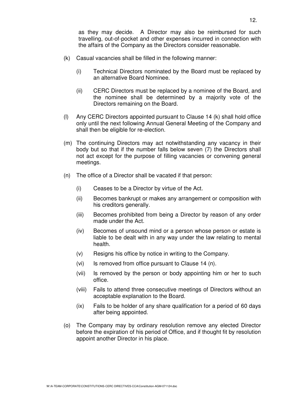as they may decide. A Director may also be reimbursed for such travelling, out-of-pocket and other expenses incurred in connection with the affairs of the Company as the Directors consider reasonable.

- (k) Casual vacancies shall be filled in the following manner:
	- (i) Technical Directors nominated by the Board must be replaced by an alternative Board Nominee.
	- (ii) CERC Directors must be replaced by a nominee of the Board, and the nominee shall be determined by a majority vote of the Directors remaining on the Board.
- (l) Any CERC Directors appointed pursuant to Clause 14 (k) shall hold office only until the next following Annual General Meeting of the Company and shall then be eligible for re-election.
- (m) The continuing Directors may act notwithstanding any vacancy in their body but so that if the number falls below seven (7) the Directors shall not act except for the purpose of filling vacancies or convening general meetings.
- (n) The office of a Director shall be vacated if that person:
	- (i) Ceases to be a Director by virtue of the Act.
	- (ii) Becomes bankrupt or makes any arrangement or composition with his creditors generally.
	- (iii) Becomes prohibited from being a Director by reason of any order made under the Act.
	- (iv) Becomes of unsound mind or a person whose person or estate is liable to be dealt with in any way under the law relating to mental health.
	- (v) Resigns his office by notice in writing to the Company.
	- (vi) Is removed from office pursuant to Clause 14 (n).
	- (vii) Is removed by the person or body appointing him or her to such office.
	- (viii) Fails to attend three consecutive meetings of Directors without an acceptable explanation to the Board.
	- (ix) Fails to be holder of any share qualification for a period of 60 days after being appointed.
- (o) The Company may by ordinary resolution remove any elected Director before the expiration of his period of Office, and if thought fit by resolution appoint another Director in his place.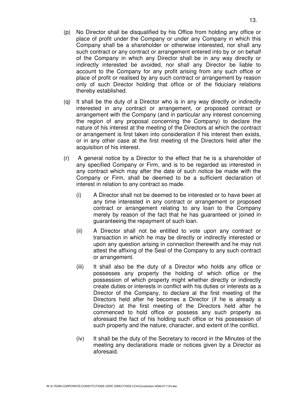- (p) No Director shall be disqualified by his Office from holding any office or place of profit under the Company or under any Company in which this Company shall be a shareholder or otherwise interested, nor shall any such contract or any contract or arrangement entered into by or on behalf of the Company in which any Director shall be in any way directly or indirectly interested be avoided, nor shall any Director be liable to account to the Company for any profit arising from any such office or place of profit or realised by any such contract or arrangement by reason only of such Director holding that office or of the fiduciary relations thereby established.
- (q) It shall be the duty of a Director who is in any way directly or indirectly interested in any contract or arrangement, or proposed contract or arrangement with the Company (and in particular any interest concerning the region of any proposal concerning the Company) to declare the nature of his interest at the meeting of the Directors at which the contract or arrangement is first taken into consideration if his interest then exists, or in any other case at the first meeting of the Directors held after the acquisition of his interest.
- (r) A general notice by a Director to the effect that he is a shareholder of any specified Company or Firm, and is to be regarded as interested in any contract which may after the date of such notice be made with the Company or Firm, shall be deemed to be a sufficient declaration of interest in relation to any contract so made.
	- (i) A Director shall not be deemed to be interested or to have been at any time interested in any contract or arrangement or proposed contract or arrangement relating to any loan to the Company merely by reason of the fact that he has guaranteed or joined in guaranteeing the repayment of such loan.
	- (ii) A Director shall not be entitled to vote upon any contract or transaction in which he may be directly or indirectly interested or upon any question arising in connection therewith and he may not attest the affixing of the Seal of the Company to any such contract or arrangement.
	- (iii) It shall also be the duty of a Director who holds any office or possesses any property the holding of which office or the possession of which property might whether directly or indirectly create duties or interests in conflict with his duties or interests as a Director of the Company, to declare at the first meeting of the Directors held after he becomes a Director (if he is already a Director) at the first meeting of the Directors held after he commenced to hold office or possess any such property as aforesaid the fact of his holding such office or his possession of such property and the nature, character, and extent of the conflict.
	- (iv) It shall be the duty of the Secretary to record in the Minutes of the meeting any declarations made or notices given by a Director as aforesaid.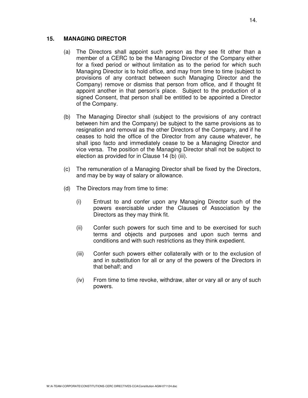#### **15. MANAGING DIRECTOR**

- (a) The Directors shall appoint such person as they see fit other than a member of a CERC to be the Managing Director of the Company either for a fixed period or without limitation as to the period for which such Managing Director is to hold office, and may from time to time (subject to provisions of any contract between such Managing Director and the Company) remove or dismiss that person from office, and if thought fit appoint another in that person's place. Subject to the production of a signed Consent, that person shall be entitled to be appointed a Director of the Company.
- (b) The Managing Director shall (subject to the provisions of any contract between him and the Company) be subject to the same provisions as to resignation and removal as the other Directors of the Company, and if he ceases to hold the office of the Director from any cause whatever, he shall ipso facto and immediately cease to be a Managing Director and vice versa. The position of the Managing Director shall not be subject to election as provided for in Clause 14 (b) (iii).
- (c) The remuneration of a Managing Director shall be fixed by the Directors, and may be by way of salary or allowance.
- (d) The Directors may from time to time:
	- (i) Entrust to and confer upon any Managing Director such of the powers exercisable under the Clauses of Association by the Directors as they may think fit.
	- (ii) Confer such powers for such time and to be exercised for such terms and objects and purposes and upon such terms and conditions and with such restrictions as they think expedient.
	- (iii) Confer such powers either collaterally with or to the exclusion of and in substitution for all or any of the powers of the Directors in that behalf; and
	- (iv) From time to time revoke, withdraw, alter or vary all or any of such powers.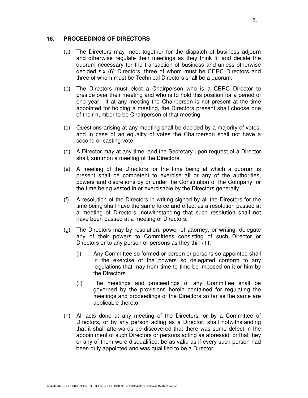#### **16. PROCEEDINGS OF DIRECTORS**

- (a) The Directors may meet together for the dispatch of business adjourn and otherwise regulate their meetings as they think fit and decide the quorum necessary for the transaction of business and unless otherwise decided six (6) Directors, three of whom must be CERC Directors and three of whom must be Technical Directors shall be a quorum.
- (b) The Directors must elect a Chairperson who is a CERC Director to preside over their meeting and who is to hold this position for a period of one year. If at any meeting the Chairperson is not present at the time appointed for holding a meeting, the Directors present shall choose one of their number to be Chairperson of that meeting.
- (c) Questions arising at any meeting shall be decided by a majority of votes, and in case of an equality of votes the Chairperson shall not have a second or casting vote.
- (d) A Director may at any time, and the Secretary upon request of a Director shall, summon a meeting of the Directors.
- (e) A meeting of the Directors for the time being at which a quorum is present shall be competent to exercise all or any of the authorities, powers and discretions by or under the Constitution of the Company for the time being vested in or exercisable by the Directors generally.
- (f) A resolution of the Directors in writing signed by all the Directors for the time being shall have the same force and effect as a resolution passed at a meeting of Directors, notwithstanding that such resolution shall not have been passed at a meeting of Directors.
- (g) The Directors may by resolution, power of attorney, or writing, delegate any of their powers to Committees consisting of such Director or Directors or to any person or persons as they think fit.
	- (i) Any Committee so formed or person or persons so appointed shall in the exercise of the powers so delegated conform to any regulations that may from time to time be imposed on it or him by the Directors.
	- (ii) The meetings and proceedings of any Committee shall be governed by the provisions herein contained for regulating the meetings and proceedings of the Directors so far as the same are applicable thereto.
- (h) All acts done at any meeting of the Directors, or by a Committee of Directors, or by any person acting as a Director, shall notwithstanding that it shall afterwards be discovered that there was some defect in the appointment of such Directors or persons acting as aforesaid, or that they or any of them were disqualified, be as valid as if every such person had been duly appointed and was qualified to be a Director.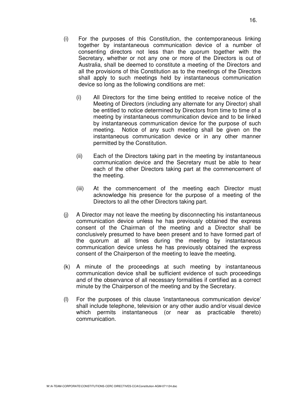- (i) For the purposes of this Constitution, the contemporaneous linking together by instantaneous communication device of a number of consenting directors not less than the quorum together with the Secretary, whether or not any one or more of the Directors is out of Australia, shall be deemed to constitute a meeting of the Directors and all the provisions of this Constitution as to the meetings of the Directors shall apply to such meetings held by instantaneous communication device so long as the following conditions are met:
	- (i) All Directors for the time being entitled to receive notice of the Meeting of Directors (including any alternate for any Director) shall be entitled to notice determined by Directors from time to time of a meeting by instantaneous communication device and to be linked by instantaneous communication device for the purpose of such meeting. Notice of any such meeting shall be given on the instantaneous communication device or in any other manner permitted by the Constitution.
	- (ii) Each of the Directors taking part in the meeting by instantaneous communication device and the Secretary must be able to hear each of the other Directors taking part at the commencement of the meeting.
	- (iii) At the commencement of the meeting each Director must acknowledge his presence for the purpose of a meeting of the Directors to all the other Directors taking part.
- (j) A Director may not leave the meeting by disconnecting his instantaneous communication device unless he has previously obtained the express consent of the Chairman of the meeting and a Director shall be conclusively presumed to have been present and to have formed part of the quorum at all times during the meeting by instantaneous communication device unless he has previously obtained the express consent of the Chairperson of the meeting to leave the meeting.
- (k) A minute of the proceedings at such meeting by instantaneous communication device shall be sufficient evidence of such proceedings and of the observance of all necessary formalities if certified as a correct minute by the Chairperson of the meeting and by the Secretary.
- (l) For the purposes of this clause 'instantaneous communication device' shall include telephone, television or any other audio and/or visual device which permits instantaneous (or near as practicable thereto) communication.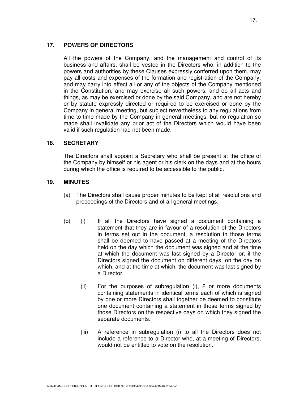#### **17. POWERS OF DIRECTORS**

 All the powers of the Company, and the management and control of its business and affairs, shall be vested in the Directors who, in addition to the powers and authorities by these Clauses expressly conferred upon them, may pay all costs and expenses of the formation and registration of the Company, and may carry into effect all or any of the objects of the Company mentioned in the Constitution, and may exercise all such powers, and do all acts and things, as may be exercised or done by the said Company, and are not hereby or by statute expressly directed or required to be exercised or done by the Company in general meeting, but subject nevertheless to any regulations from time to time made by the Company in general meetings, but no regulation so made shall invalidate any prior act of the Directors which would have been valid if such regulation had not been made.

#### **18. SECRETARY**

 The Directors shall appoint a Secretary who shall be present at the office of the Company by himself or his agent or his clerk on the days and at the hours during which the office is required to be accessible to the public.

#### **19. MINUTES**

- (a) The Directors shall cause proper minutes to be kept of all resolutions and proceedings of the Directors and of all general meetings.
- (b) (i) If all the Directors have signed a document containing a statement that they are in favour of a resolution of the Directors in terms set out in the document, a resolution in those terms shall be deemed to have passed at a meeting of the Directors held on the day which the document was signed and at the time at which the document was last signed by a Director or, if the Directors signed the document on different days, on the day on which, and at the time at which, the document was last signed by a Director.
	- (ii) For the purposes of subregulation (i), 2 or more documents containing statements in identical terms each of which is signed by one or more Directors shall together be deemed to constitute one document containing a statement in those terms signed by those Directors on the respective days on which they signed the separate documents.
	- (iii) A reference in subregulation (i) to all the Directors does not include a reference to a Director who, at a meeting of Directors, would not be entitled to vote on the resolution.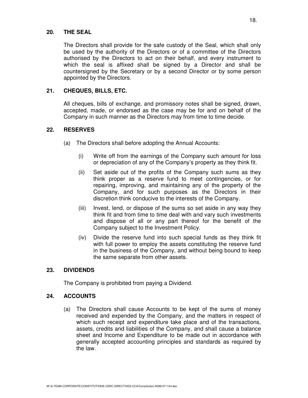#### **20. THE SEAL**

 The Directors shall provide for the safe custody of the Seal, which shall only be used by the authority of the Directors or of a committee of the Directors authorised by the Directors to act on their behalf, and every instrument to which the seal is affixed shall be signed by a Director and shall be countersigned by the Secretary or by a second Director or by some person appointed by the Directors.

#### **21. CHEQUES, BILLS, ETC.**

 All cheques, bills of exchange, and promissory notes shall be signed, drawn, accepted, made, or endorsed as the case may be for and on behalf of the Company in such manner as the Directors may from time to time decide.

#### **22. RESERVES**

- (a) The Directors shall before adopting the Annual Accounts:
	- (i) Write off from the earnings of the Company such amount for loss or depreciation of any of the Company's property as they think fit.
	- (ii) Set aside out of the profits of the Company such sums as they think proper as a reserve fund to meet contingencies, or for repairing, improving, and maintaining any of the property of the Company, and for such purposes as the Directors in their discretion think conducive to the interests of the Company.
	- (iii) Invest, lend, or dispose of the sums so set aside in any way they think fit and from time to time deal with and vary such investments and dispose of all or any part thereof for the benefit of the Company subject to the Investment Policy.
	- (iv) Divide the reserve fund into such special funds as they think fit with full power to employ the assets constituting the reserve fund in the business of the Company, and without being bound to keep the same separate from other assets.

#### **23. DIVIDENDS**

The Company is prohibited from paying a Dividend.

#### **24. ACCOUNTS**

(a) The Directors shall cause Accounts to be kept of the sums of money received and expended by the Company, and the matters in respect of which such receipt and expenditure take place and of the transactions, assets, credits and liabilities of the Company, and shall cause a balance sheet and Income and Expenditure to be made out in accordance with generally accepted accounting principles and standards as required by the law.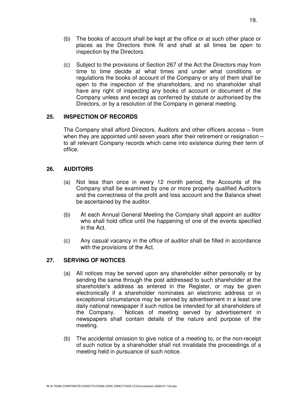- (b) The books of account shall be kept at the office or at such other place or places as the Directors think fit and shall at all times be open to inspection by the Directors.
- (c) Subject to the provisions of Section 267 of the Act the Directors may from time to time decide at what times and under what conditions or regulations the books of account of the Company or any of them shall be open to the inspection of the shareholders, and no shareholder shall have any right of inspecting any books of account or document of the Company unless and except as conferred by statute or authorised by the Directors, or by a resolution of the Company in general meeting.

#### **25. INSPECTION OF RECORDS**

 The Company shall afford Directors, Auditors and other officers access – from when they are appointed until seven years after their retirement or resignation – to all relevant Company records which came into existence during their term of office.

#### **26. AUDITORS**

- (a) Not less than once in every 12 month period, the Accounts of the Company shall be examined by one or more properly qualified Auditor/s and the correctness of the profit and loss account and the Balance sheet be ascertained by the auditor.
- (b) At each Annual General Meeting the Company shall appoint an auditor who shall hold office until the happening of one of the events specified in the Act.
- (c) Any casual vacancy in the office of auditor shall be filled in accordance with the provisions of the Act.

#### **27. SERVING OF NOTICES**

- (a) All notices may be served upon any shareholder either personally or by sending the same through the post addressed to such shareholder at the shareholder's address as entered in the Register, or may be given electronically if a shareholder nominates an electronic address or in exceptional circumstance may be served by advertisement in a least one daily national newspaper if such notice be intended for all shareholders of the Company. Notices of meeting served by advertisement in newspapers shall contain details of the nature and purpose of the meeting.
- (b) The accidental omission to give notice of a meeting to, or the non-receipt of such notice by a shareholder shall not invalidate the proceedings of a meeting held in pursuance of such notice.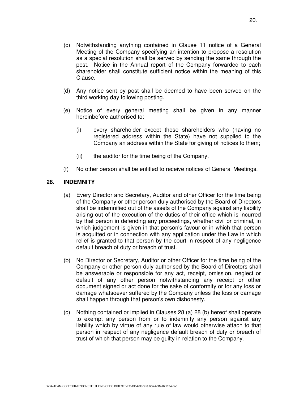- (c) Notwithstanding anything contained in Clause 11 notice of a General Meeting of the Company specifying an intention to propose a resolution as a special resolution shall be served by sending the same through the post. Notice in the Annual report of the Company forwarded to each shareholder shall constitute sufficient notice within the meaning of this Clause.
- (d) Any notice sent by post shall be deemed to have been served on the third working day following posting.
- (e) Notice of every general meeting shall be given in any manner hereinbefore authorised to: -
	- (i) every shareholder except those shareholders who (having no registered address within the State) have not supplied to the Company an address within the State for giving of notices to them;
	- (ii) the auditor for the time being of the Company.
- (f) No other person shall be entitled to receive notices of General Meetings.

#### **28. INDEMNITY**

- (a) Every Director and Secretary, Auditor and other Officer for the time being of the Company or other person duly authorised by the Board of Directors shall be indemnified out of the assets of the Company against any liability arising out of the execution of the duties of their office which is incurred by that person in defending any proceedings, whether civil or criminal, in which judgement is given in that person's favour or in which that person is acquitted or in connection with any application under the Law in which relief is granted to that person by the court in respect of any negligence default breach of duty or breach of trust.
- (b) No Director or Secretary, Auditor or other Officer for the time being of the Company or other person duly authorised by the Board of Directors shall be answerable or responsible for any act, receipt, omission, neglect or default of any other person notwithstanding any receipt or other document signed or act done for the sake of conformity or for any loss or damage whatsoever suffered by the Company unless the loss or damage shall happen through that person's own dishonesty.
- (c) Nothing contained or implied in Clauses 28 (a) 28 (b) hereof shall operate to exempt any person from or to indemnify any person against any liability which by virtue of any rule of law would otherwise attach to that person in respect of any negligence default breach of duty or breach of trust of which that person may be guilty in relation to the Company.